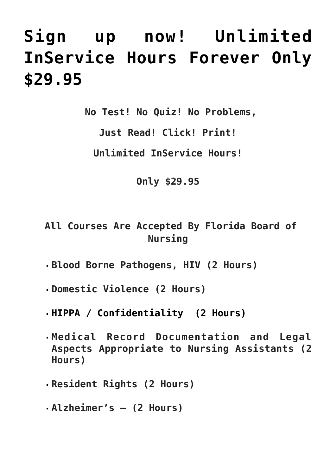## **[Sign up now! Unlimited](https://cnainservicehours.com/discount/) [InService Hours Forever Only](https://cnainservicehours.com/discount/) [\\$29.95](https://cnainservicehours.com/discount/)**

 **No Test! No Quiz! No Problems,**

**Just Read! Click! Print!**

**Unlimited InService Hours!**

**Only \$29.95**

 **All Courses Are Accepted By Florida Board of Nursing**

- **Blood Borne Pathogens, HIV (2 Hours)**
- **Domestic Violence (2 Hours)**
- **HIPPA / Confidentiality (2 Hours)**
- **Medical Record Documentation and Legal Aspects Appropriate to Nursing Assistants (2 Hours)**
- **Resident Rights (2 Hours)**
- **Alzheimer's (2 Hours)**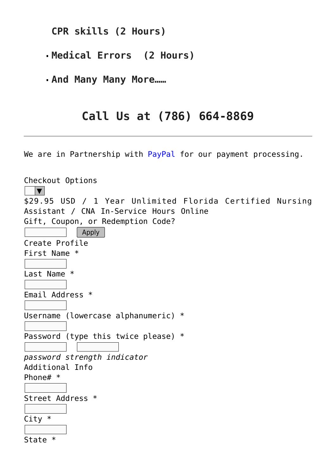**CPR skills (2 Hours)**

- **Medical Errors (2 Hours)**
- **And Many Many More……**

## **Call Us at (786) 664-8869**

We are in Partnership with PayPal for our payment processing.

| Checkout Options                                         |  |
|----------------------------------------------------------|--|
| \$29.95 USD / 1 Year Unlimited Florida Certified Nursing |  |
| Assistant / CNA In-Service Hours Online                  |  |
| Gift, Coupon, or Redemption Code?                        |  |
| Apply                                                    |  |
| Create Profile                                           |  |
| First Name *                                             |  |
|                                                          |  |
| Last Name *                                              |  |
|                                                          |  |
| Email Address *                                          |  |
|                                                          |  |
| Username (lowercase alphanumeric) *                      |  |
|                                                          |  |
| Password (type this twice please) $*$                    |  |
|                                                          |  |
| password strength indicator<br>Additional Info           |  |
| Phone# $*$                                               |  |
|                                                          |  |
| Street Address *                                         |  |
|                                                          |  |
| $City *$                                                 |  |
|                                                          |  |
| State *                                                  |  |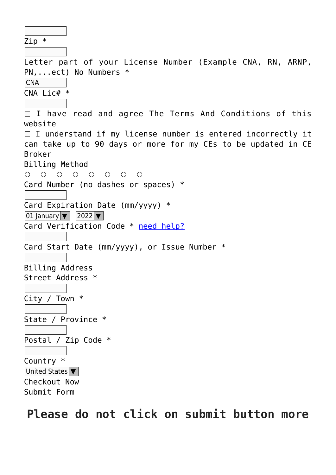Zip \*

Letter part of your License Number (Example CNA, RN, ARNP, PN,...ect) No Numbers \*

CNA

 $CNA$  Lic#  $*$ 

 $\Box$  I have read and agree The Terms And Conditions of this website

 $\Box$  I understand if my license number is entered incorrectly it can take up to 90 days or more for my CEs to be updated in CE Broker

Billing Method

 $\begin{array}{ccccccccccccccccc} \circ & \circ & \circ & \circ & \circ & \circ & \circ & \circ \end{array}$ 

Card Number (no dashes or spaces) \*

Card Expiration Date (mm/yyyy) \*

01 January  $\sqrt{2022 \times}$ 

Card Verification Code \* [need help?](https://en.wikipedia.org/wiki/Card_security_code)

```
Card Start Date (mm/yyyy), or Issue Number *
```
Billing Address

Street Address \*

City / Town \*

State / Province \*

Postal / Zip Code \*

Country \* United States  $\vert \bm{\nabla} \vert$ Checkout Now Submit Form

**Please do not click on submit button more**